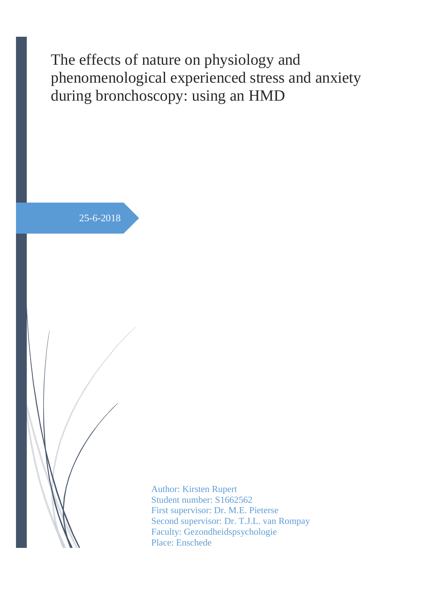The effects of nature on physiology and phenomenological experienced stress and anxiety during bronchoscopy: using an HMD

25-6-2018

Author: Kirsten Rupert Student number: S1662562 First supervisor: Dr. M.E. Pieterse Second supervisor: Dr. T.J.L. van Rompay Faculty: Gezondheidspsychologie Place: Enschede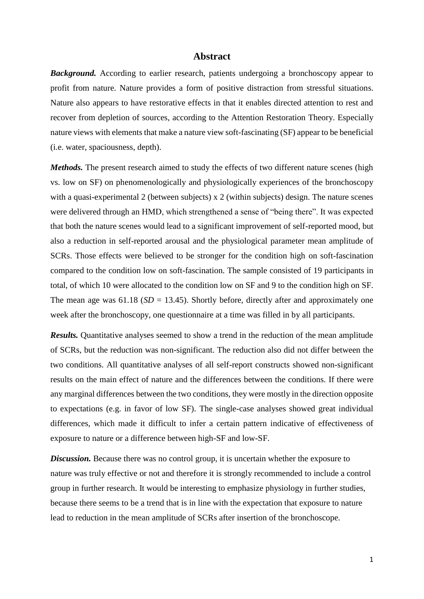## **Abstract**

**Background.** According to earlier research, patients undergoing a bronchoscopy appear to profit from nature. Nature provides a form of positive distraction from stressful situations. Nature also appears to have restorative effects in that it enables directed attention to rest and recover from depletion of sources, according to the Attention Restoration Theory. Especially nature views with elements that make a nature view soft-fascinating (SF) appear to be beneficial (i.e. water, spaciousness, depth).

*Methods*. The present research aimed to study the effects of two different nature scenes (high vs. low on SF) on phenomenologically and physiologically experiences of the bronchoscopy with a quasi-experimental 2 (between subjects) x 2 (within subjects) design. The nature scenes were delivered through an HMD, which strengthened a sense of "being there". It was expected that both the nature scenes would lead to a significant improvement of self-reported mood, but also a reduction in self-reported arousal and the physiological parameter mean amplitude of SCRs. Those effects were believed to be stronger for the condition high on soft-fascination compared to the condition low on soft-fascination. The sample consisted of 19 participants in total, of which 10 were allocated to the condition low on SF and 9 to the condition high on SF. The mean age was  $61.18$  ( $SD = 13.45$ ). Shortly before, directly after and approximately one week after the bronchoscopy, one questionnaire at a time was filled in by all participants.

*Results.* Quantitative analyses seemed to show a trend in the reduction of the mean amplitude of SCRs, but the reduction was non-significant. The reduction also did not differ between the two conditions. All quantitative analyses of all self-report constructs showed non-significant results on the main effect of nature and the differences between the conditions. If there were any marginal differences between the two conditions, they were mostly in the direction opposite to expectations (e.g. in favor of low SF). The single-case analyses showed great individual differences, which made it difficult to infer a certain pattern indicative of effectiveness of exposure to nature or a difference between high-SF and low-SF.

**Discussion.** Because there was no control group, it is uncertain whether the exposure to nature was truly effective or not and therefore it is strongly recommended to include a control group in further research. It would be interesting to emphasize physiology in further studies, because there seems to be a trend that is in line with the expectation that exposure to nature lead to reduction in the mean amplitude of SCRs after insertion of the bronchoscope.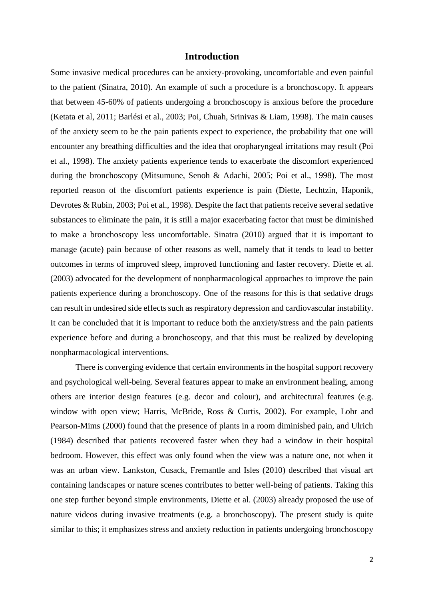## **Introduction**

Some invasive medical procedures can be anxiety-provoking, uncomfortable and even painful to the patient (Sinatra, 2010). An example of such a procedure is a bronchoscopy. It appears that between 45-60% of patients undergoing a bronchoscopy is anxious before the procedure (Ketata et al, 2011; Barlési et al., 2003; Poi, Chuah, Srinivas & Liam, 1998). The main causes of the anxiety seem to be the pain patients expect to experience, the probability that one will encounter any breathing difficulties and the idea that oropharyngeal irritations may result (Poi et al., 1998). The anxiety patients experience tends to exacerbate the discomfort experienced during the bronchoscopy (Mitsumune, Senoh & Adachi, 2005; Poi et al., 1998). The most reported reason of the discomfort patients experience is pain (Diette, Lechtzin, Haponik, Devrotes & Rubin, 2003; Poi et al., 1998). Despite the fact that patients receive several sedative substances to eliminate the pain, it is still a major exacerbating factor that must be diminished to make a bronchoscopy less uncomfortable. Sinatra (2010) argued that it is important to manage (acute) pain because of other reasons as well, namely that it tends to lead to better outcomes in terms of improved sleep, improved functioning and faster recovery. Diette et al. (2003) advocated for the development of nonpharmacological approaches to improve the pain patients experience during a bronchoscopy. One of the reasons for this is that sedative drugs can result in undesired side effects such as respiratory depression and cardiovascular instability. It can be concluded that it is important to reduce both the anxiety/stress and the pain patients experience before and during a bronchoscopy, and that this must be realized by developing nonpharmacological interventions.

There is converging evidence that certain environments in the hospital support recovery and psychological well-being. Several features appear to make an environment healing, among others are interior design features (e.g. decor and colour), and architectural features (e.g. window with open view; Harris, McBride, Ross & Curtis, 2002). For example, Lohr and Pearson-Mims (2000) found that the presence of plants in a room diminished pain, and Ulrich (1984) described that patients recovered faster when they had a window in their hospital bedroom. However, this effect was only found when the view was a nature one, not when it was an urban view. Lankston, Cusack, Fremantle and Isles (2010) described that visual art containing landscapes or nature scenes contributes to better well-being of patients. Taking this one step further beyond simple environments, Diette et al. (2003) already proposed the use of nature videos during invasive treatments (e.g. a bronchoscopy). The present study is quite similar to this; it emphasizes stress and anxiety reduction in patients undergoing bronchoscopy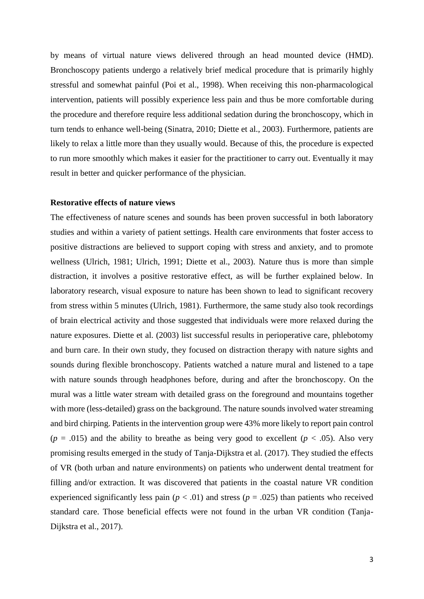by means of virtual nature views delivered through an head mounted device (HMD). Bronchoscopy patients undergo a relatively brief medical procedure that is primarily highly stressful and somewhat painful (Poi et al., 1998). When receiving this non-pharmacological intervention, patients will possibly experience less pain and thus be more comfortable during the procedure and therefore require less additional sedation during the bronchoscopy, which in turn tends to enhance well-being (Sinatra, 2010; Diette et al., 2003). Furthermore, patients are likely to relax a little more than they usually would. Because of this, the procedure is expected to run more smoothly which makes it easier for the practitioner to carry out. Eventually it may result in better and quicker performance of the physician.

#### **Restorative effects of nature views**

The effectiveness of nature scenes and sounds has been proven successful in both laboratory studies and within a variety of patient settings. Health care environments that foster access to positive distractions are believed to support coping with stress and anxiety, and to promote wellness (Ulrich, 1981; Ulrich, 1991; Diette et al., 2003). Nature thus is more than simple distraction, it involves a positive restorative effect, as will be further explained below. In laboratory research, visual exposure to nature has been shown to lead to significant recovery from stress within 5 minutes (Ulrich, 1981). Furthermore, the same study also took recordings of brain electrical activity and those suggested that individuals were more relaxed during the nature exposures. Diette et al. (2003) list successful results in perioperative care, phlebotomy and burn care. In their own study, they focused on distraction therapy with nature sights and sounds during flexible bronchoscopy. Patients watched a nature mural and listened to a tape with nature sounds through headphones before, during and after the bronchoscopy. On the mural was a little water stream with detailed grass on the foreground and mountains together with more (less-detailed) grass on the background. The nature sounds involved water streaming and bird chirping. Patients in the intervention group were 43% more likely to report pain control  $(p = .015)$  and the ability to breathe as being very good to excellent  $(p < .05)$ . Also very promising results emerged in the study of Tanja-Dijkstra et al. (2017). They studied the effects of VR (both urban and nature environments) on patients who underwent dental treatment for filling and/or extraction. It was discovered that patients in the coastal nature VR condition experienced significantly less pain  $(p < .01)$  and stress  $(p = .025)$  than patients who received standard care. Those beneficial effects were not found in the urban VR condition (Tanja-Dijkstra et al., 2017).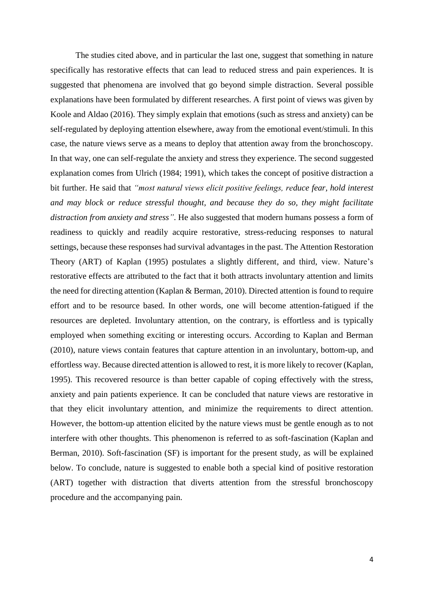The studies cited above, and in particular the last one, suggest that something in nature specifically has restorative effects that can lead to reduced stress and pain experiences. It is suggested that phenomena are involved that go beyond simple distraction. Several possible explanations have been formulated by different researches. A first point of views was given by Koole and Aldao (2016). They simply explain that emotions (such as stress and anxiety) can be self-regulated by deploying attention elsewhere, away from the emotional event/stimuli. In this case, the nature views serve as a means to deploy that attention away from the bronchoscopy. In that way, one can self-regulate the anxiety and stress they experience. The second suggested explanation comes from Ulrich (1984; 1991), which takes the concept of positive distraction a bit further. He said that *"most natural views elicit positive feelings, reduce fear, hold interest and may block or reduce stressful thought, and because they do so, they might facilitate distraction from anxiety and stress"*. He also suggested that modern humans possess a form of readiness to quickly and readily acquire restorative, stress-reducing responses to natural settings, because these responses had survival advantages in the past. The Attention Restoration Theory (ART) of Kaplan (1995) postulates a slightly different, and third, view. Nature's restorative effects are attributed to the fact that it both attracts involuntary attention and limits the need for directing attention (Kaplan & Berman, 2010). Directed attention is found to require effort and to be resource based. In other words, one will become attention-fatigued if the resources are depleted. Involuntary attention, on the contrary, is effortless and is typically employed when something exciting or interesting occurs. According to Kaplan and Berman (2010), nature views contain features that capture attention in an involuntary, bottom-up, and effortless way. Because directed attention is allowed to rest, it is more likely to recover (Kaplan, 1995). This recovered resource is than better capable of coping effectively with the stress, anxiety and pain patients experience. It can be concluded that nature views are restorative in that they elicit involuntary attention, and minimize the requirements to direct attention. However, the bottom-up attention elicited by the nature views must be gentle enough as to not interfere with other thoughts. This phenomenon is referred to as soft-fascination (Kaplan and Berman, 2010). Soft-fascination (SF) is important for the present study, as will be explained below. To conclude, nature is suggested to enable both a special kind of positive restoration (ART) together with distraction that diverts attention from the stressful bronchoscopy procedure and the accompanying pain.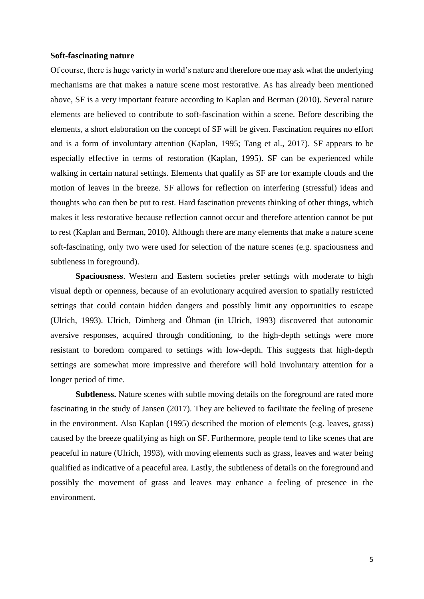#### **Soft-fascinating nature**

Of course, there is huge variety in world's nature and therefore one may ask what the underlying mechanisms are that makes a nature scene most restorative. As has already been mentioned above, SF is a very important feature according to Kaplan and Berman (2010). Several nature elements are believed to contribute to soft-fascination within a scene. Before describing the elements, a short elaboration on the concept of SF will be given. Fascination requires no effort and is a form of involuntary attention (Kaplan, 1995; Tang et al., 2017). SF appears to be especially effective in terms of restoration (Kaplan, 1995). SF can be experienced while walking in certain natural settings. Elements that qualify as SF are for example clouds and the motion of leaves in the breeze. SF allows for reflection on interfering (stressful) ideas and thoughts who can then be put to rest. Hard fascination prevents thinking of other things, which makes it less restorative because reflection cannot occur and therefore attention cannot be put to rest (Kaplan and Berman, 2010). Although there are many elements that make a nature scene soft-fascinating, only two were used for selection of the nature scenes (e.g. spaciousness and subtleness in foreground).

**Spaciousness**. Western and Eastern societies prefer settings with moderate to high visual depth or openness, because of an evolutionary acquired aversion to spatially restricted settings that could contain hidden dangers and possibly limit any opportunities to escape (Ulrich, 1993). Ulrich, Dimberg and Öhman (in Ulrich, 1993) discovered that autonomic aversive responses, acquired through conditioning, to the high-depth settings were more resistant to boredom compared to settings with low-depth. This suggests that high-depth settings are somewhat more impressive and therefore will hold involuntary attention for a longer period of time.

**Subtleness.** Nature scenes with subtle moving details on the foreground are rated more fascinating in the study of Jansen (2017). They are believed to facilitate the feeling of presene in the environment. Also Kaplan (1995) described the motion of elements (e.g. leaves, grass) caused by the breeze qualifying as high on SF. Furthermore, people tend to like scenes that are peaceful in nature (Ulrich, 1993), with moving elements such as grass, leaves and water being qualified as indicative of a peaceful area. Lastly, the subtleness of details on the foreground and possibly the movement of grass and leaves may enhance a feeling of presence in the environment.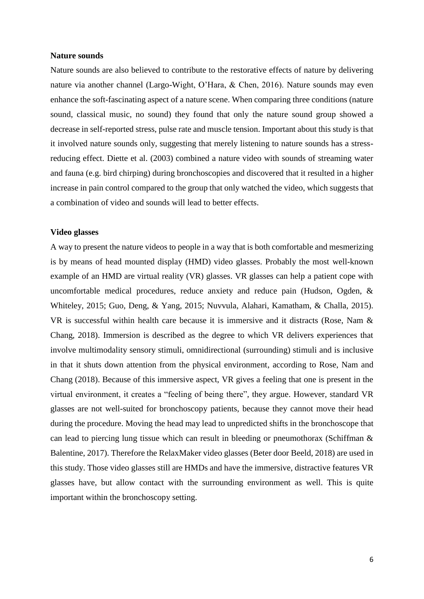#### **Nature sounds**

Nature sounds are also believed to contribute to the restorative effects of nature by delivering nature via another channel (Largo-Wight, O'Hara, & Chen, 2016). Nature sounds may even enhance the soft-fascinating aspect of a nature scene. When comparing three conditions (nature sound, classical music, no sound) they found that only the nature sound group showed a decrease in self-reported stress, pulse rate and muscle tension. Important about this study is that it involved nature sounds only, suggesting that merely listening to nature sounds has a stressreducing effect. Diette et al. (2003) combined a nature video with sounds of streaming water and fauna (e.g. bird chirping) during bronchoscopies and discovered that it resulted in a higher increase in pain control compared to the group that only watched the video, which suggests that a combination of video and sounds will lead to better effects.

## **Video glasses**

A way to present the nature videos to people in a way that is both comfortable and mesmerizing is by means of head mounted display (HMD) video glasses. Probably the most well-known example of an HMD are virtual reality (VR) glasses. VR glasses can help a patient cope with uncomfortable medical procedures, reduce anxiety and reduce pain (Hudson, Ogden, & Whiteley, 2015; Guo, Deng, & Yang, 2015; Nuvvula, Alahari, Kamatham, & Challa, 2015). VR is successful within health care because it is immersive and it distracts (Rose, Nam & Chang, 2018). Immersion is described as the degree to which VR delivers experiences that involve multimodality sensory stimuli, omnidirectional (surrounding) stimuli and is inclusive in that it shuts down attention from the physical environment, according to Rose, Nam and Chang (2018). Because of this immersive aspect, VR gives a feeling that one is present in the virtual environment, it creates a "feeling of being there", they argue. However, standard VR glasses are not well-suited for bronchoscopy patients, because they cannot move their head during the procedure. Moving the head may lead to unpredicted shifts in the bronchoscope that can lead to piercing lung tissue which can result in bleeding or pneumothorax (Schiffman & Balentine, 2017). Therefore the RelaxMaker video glasses (Beter door Beeld, 2018) are used in this study. Those video glasses still are HMDs and have the immersive, distractive features VR glasses have, but allow contact with the surrounding environment as well. This is quite important within the bronchoscopy setting.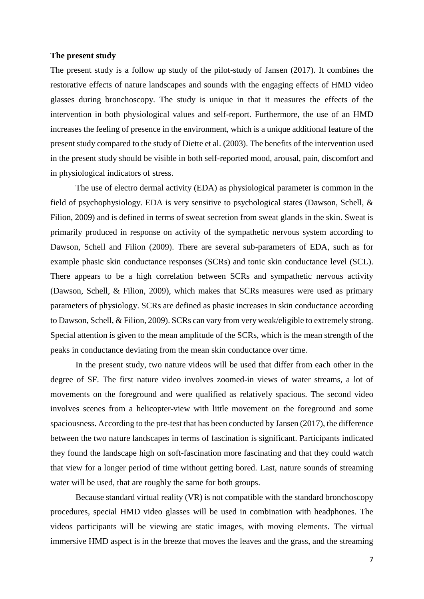#### **The present study**

The present study is a follow up study of the pilot-study of Jansen (2017). It combines the restorative effects of nature landscapes and sounds with the engaging effects of HMD video glasses during bronchoscopy. The study is unique in that it measures the effects of the intervention in both physiological values and self-report. Furthermore, the use of an HMD increases the feeling of presence in the environment, which is a unique additional feature of the present study compared to the study of Diette et al. (2003). The benefits of the intervention used in the present study should be visible in both self-reported mood, arousal, pain, discomfort and in physiological indicators of stress.

The use of electro dermal activity (EDA) as physiological parameter is common in the field of psychophysiology. EDA is very sensitive to psychological states (Dawson, Schell, & Filion, 2009) and is defined in terms of sweat secretion from sweat glands in the skin. Sweat is primarily produced in response on activity of the sympathetic nervous system according to Dawson, Schell and Filion (2009). There are several sub-parameters of EDA, such as for example phasic skin conductance responses (SCRs) and tonic skin conductance level (SCL). There appears to be a high correlation between SCRs and sympathetic nervous activity (Dawson, Schell, & Filion, 2009), which makes that SCRs measures were used as primary parameters of physiology. SCRs are defined as phasic increases in skin conductance according to Dawson, Schell, & Filion, 2009). SCRs can vary from very weak/eligible to extremely strong. Special attention is given to the mean amplitude of the SCRs, which is the mean strength of the peaks in conductance deviating from the mean skin conductance over time.

In the present study, two nature videos will be used that differ from each other in the degree of SF. The first nature video involves zoomed-in views of water streams, a lot of movements on the foreground and were qualified as relatively spacious. The second video involves scenes from a helicopter-view with little movement on the foreground and some spaciousness. According to the pre-test that has been conducted by Jansen (2017), the difference between the two nature landscapes in terms of fascination is significant. Participants indicated they found the landscape high on soft-fascination more fascinating and that they could watch that view for a longer period of time without getting bored. Last, nature sounds of streaming water will be used, that are roughly the same for both groups.

Because standard virtual reality (VR) is not compatible with the standard bronchoscopy procedures, special HMD video glasses will be used in combination with headphones. The videos participants will be viewing are static images, with moving elements. The virtual immersive HMD aspect is in the breeze that moves the leaves and the grass, and the streaming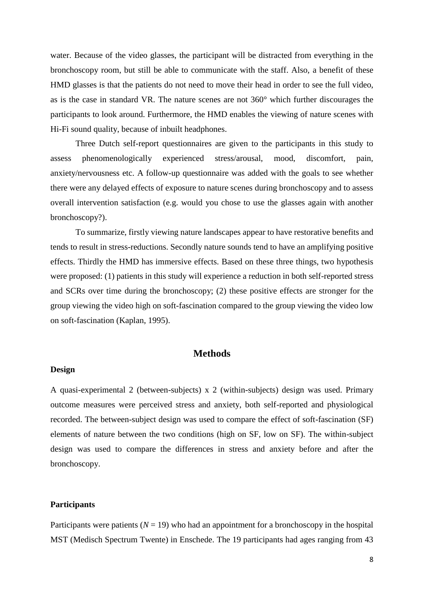water. Because of the video glasses, the participant will be distracted from everything in the bronchoscopy room, but still be able to communicate with the staff. Also, a benefit of these HMD glasses is that the patients do not need to move their head in order to see the full video, as is the case in standard VR. The nature scenes are not 360° which further discourages the participants to look around. Furthermore, the HMD enables the viewing of nature scenes with Hi-Fi sound quality, because of inbuilt headphones.

Three Dutch self-report questionnaires are given to the participants in this study to assess phenomenologically experienced stress/arousal, mood, discomfort, pain, anxiety/nervousness etc. A follow-up questionnaire was added with the goals to see whether there were any delayed effects of exposure to nature scenes during bronchoscopy and to assess overall intervention satisfaction (e.g. would you chose to use the glasses again with another bronchoscopy?).

To summarize, firstly viewing nature landscapes appear to have restorative benefits and tends to result in stress-reductions. Secondly nature sounds tend to have an amplifying positive effects. Thirdly the HMD has immersive effects. Based on these three things, two hypothesis were proposed: (1) patients in this study will experience a reduction in both self-reported stress and SCRs over time during the bronchoscopy; (2) these positive effects are stronger for the group viewing the video high on soft-fascination compared to the group viewing the video low on soft-fascination (Kaplan, 1995).

## **Methods**

#### **Design**

A quasi-experimental 2 (between-subjects) x 2 (within-subjects) design was used. Primary outcome measures were perceived stress and anxiety, both self-reported and physiological recorded. The between-subject design was used to compare the effect of soft-fascination (SF) elements of nature between the two conditions (high on SF, low on SF). The within-subject design was used to compare the differences in stress and anxiety before and after the bronchoscopy.

### **Participants**

Participants were patients  $(N = 19)$  who had an appointment for a bronchoscopy in the hospital MST (Medisch Spectrum Twente) in Enschede. The 19 participants had ages ranging from 43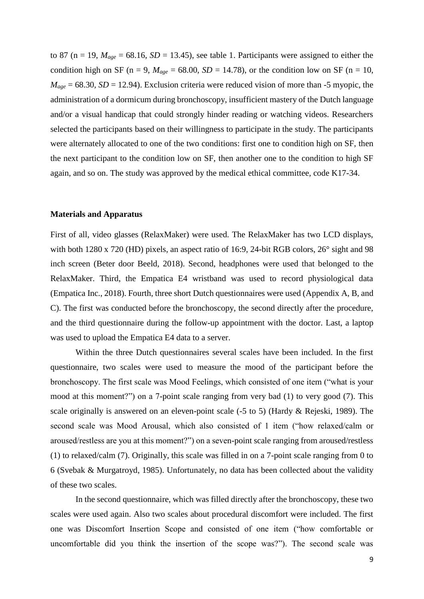to 87 (n = 19,  $M_{age}$  = 68.16, *SD* = 13.45), see table 1. Participants were assigned to either the condition high on SF ( $n = 9$ ,  $M_{age} = 68.00$ ,  $SD = 14.78$ ), or the condition low on SF ( $n = 10$ ,  $M_{age} = 68.30, SD = 12.94$ . Exclusion criteria were reduced vision of more than -5 myopic, the administration of a dormicum during bronchoscopy, insufficient mastery of the Dutch language and/or a visual handicap that could strongly hinder reading or watching videos. Researchers selected the participants based on their willingness to participate in the study. The participants were alternately allocated to one of the two conditions: first one to condition high on SF, then the next participant to the condition low on SF, then another one to the condition to high SF again, and so on. The study was approved by the medical ethical committee, code K17-34.

#### **Materials and Apparatus**

First of all, video glasses (RelaxMaker) were used. The RelaxMaker has two LCD displays, with both 1280 x 720 (HD) pixels, an aspect ratio of 16:9, 24-bit RGB colors, 26° sight and 98 inch screen (Beter door Beeld, 2018). Second, headphones were used that belonged to the RelaxMaker. Third, the Empatica E4 wristband was used to record physiological data (Empatica Inc., 2018). Fourth, three short Dutch questionnaires were used (Appendix A, B, and C). The first was conducted before the bronchoscopy, the second directly after the procedure, and the third questionnaire during the follow-up appointment with the doctor. Last, a laptop was used to upload the Empatica E4 data to a server.

Within the three Dutch questionnaires several scales have been included. In the first questionnaire, two scales were used to measure the mood of the participant before the bronchoscopy. The first scale was Mood Feelings, which consisted of one item ("what is your mood at this moment?") on a 7-point scale ranging from very bad (1) to very good (7). This scale originally is answered on an eleven-point scale (-5 to 5) (Hardy & Rejeski, 1989). The second scale was Mood Arousal, which also consisted of 1 item ("how relaxed/calm or aroused/restless are you at this moment?") on a seven-point scale ranging from aroused/restless (1) to relaxed/calm (7). Originally, this scale was filled in on a 7-point scale ranging from 0 to 6 (Svebak & Murgatroyd, 1985). Unfortunately, no data has been collected about the validity of these two scales.

In the second questionnaire, which was filled directly after the bronchoscopy, these two scales were used again. Also two scales about procedural discomfort were included. The first one was Discomfort Insertion Scope and consisted of one item ("how comfortable or uncomfortable did you think the insertion of the scope was?"). The second scale was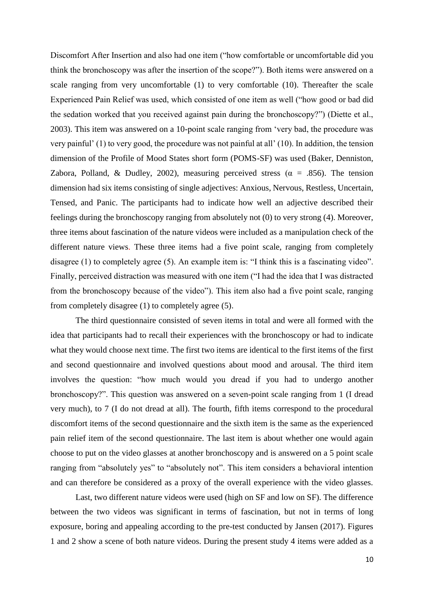Discomfort After Insertion and also had one item ("how comfortable or uncomfortable did you think the bronchoscopy was after the insertion of the scope?"). Both items were answered on a scale ranging from very uncomfortable (1) to very comfortable (10). Thereafter the scale Experienced Pain Relief was used, which consisted of one item as well ("how good or bad did the sedation worked that you received against pain during the bronchoscopy?") (Diette et al., 2003). This item was answered on a 10-point scale ranging from 'very bad, the procedure was very painful' (1) to very good, the procedure was not painful at all' (10). In addition, the tension dimension of the Profile of Mood States short form (POMS-SF) was used (Baker, Denniston, Zabora, Polland, & Dudley, 2002), measuring perceived stress ( $\alpha = .856$ ). The tension dimension had six items consisting of single adjectives: Anxious, Nervous, Restless, Uncertain, Tensed, and Panic. The participants had to indicate how well an adjective described their feelings during the bronchoscopy ranging from absolutely not (0) to very strong (4). Moreover, three items about fascination of the nature videos were included as a manipulation check of the different nature views. These three items had a five point scale, ranging from completely disagree (1) to completely agree (5). An example item is: "I think this is a fascinating video". Finally, perceived distraction was measured with one item ("I had the idea that I was distracted from the bronchoscopy because of the video"). This item also had a five point scale, ranging from completely disagree (1) to completely agree (5).

The third questionnaire consisted of seven items in total and were all formed with the idea that participants had to recall their experiences with the bronchoscopy or had to indicate what they would choose next time. The first two items are identical to the first items of the first and second questionnaire and involved questions about mood and arousal. The third item involves the question: "how much would you dread if you had to undergo another bronchoscopy?". This question was answered on a seven-point scale ranging from 1 (I dread very much), to 7 (I do not dread at all). The fourth, fifth items correspond to the procedural discomfort items of the second questionnaire and the sixth item is the same as the experienced pain relief item of the second questionnaire. The last item is about whether one would again choose to put on the video glasses at another bronchoscopy and is answered on a 5 point scale ranging from "absolutely yes" to "absolutely not". This item considers a behavioral intention and can therefore be considered as a proxy of the overall experience with the video glasses.

Last, two different nature videos were used (high on SF and low on SF). The difference between the two videos was significant in terms of fascination, but not in terms of long exposure, boring and appealing according to the pre-test conducted by Jansen (2017). Figures 1 and 2 show a scene of both nature videos. During the present study 4 items were added as a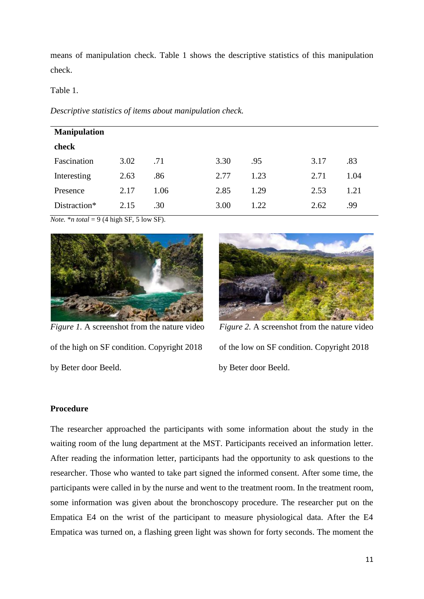means of manipulation check. Table 1 shows the descriptive statistics of this manipulation check.

Table 1.

*Descriptive statistics of items about manipulation check.*

| <b>Manipulation</b> |      |      |      |      |      |      |
|---------------------|------|------|------|------|------|------|
| check               |      |      |      |      |      |      |
| Fascination         | 3.02 | .71  | 3.30 | .95  | 3.17 | .83  |
| Interesting         | 2.63 | .86  | 2.77 | 1.23 | 2.71 | 1.04 |
| Presence            | 2.17 | 1.06 | 2.85 | 1.29 | 2.53 | 1.21 |
| Distraction*        | 2.15 | .30  | 3.00 | 1.22 | 2.62 | .99  |

*Note.* \**n total* = 9 (4 high SF, 5 low SF).



*Figure 1.* A screenshot from the nature video *Figure 2.* A screenshot from the nature video of the high on SF condition. Copyright 2018 of the low on SF condition. Copyright 2018 by Beter door Beeld. by Beter door Beeld.



## **Procedure**

The researcher approached the participants with some information about the study in the waiting room of the lung department at the MST. Participants received an information letter. After reading the information letter, participants had the opportunity to ask questions to the researcher. Those who wanted to take part signed the informed consent. After some time, the participants were called in by the nurse and went to the treatment room. In the treatment room, some information was given about the bronchoscopy procedure. The researcher put on the Empatica E4 on the wrist of the participant to measure physiological data. After the E4 Empatica was turned on, a flashing green light was shown for forty seconds. The moment the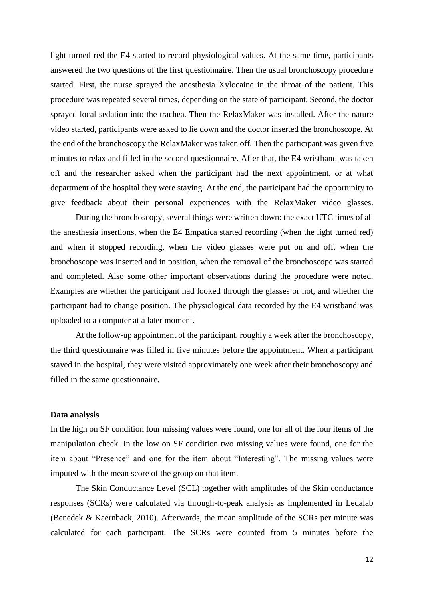light turned red the E4 started to record physiological values. At the same time, participants answered the two questions of the first questionnaire. Then the usual bronchoscopy procedure started. First, the nurse sprayed the anesthesia Xylocaine in the throat of the patient. This procedure was repeated several times, depending on the state of participant. Second, the doctor sprayed local sedation into the trachea. Then the RelaxMaker was installed. After the nature video started, participants were asked to lie down and the doctor inserted the bronchoscope. At the end of the bronchoscopy the RelaxMaker was taken off. Then the participant was given five minutes to relax and filled in the second questionnaire. After that, the E4 wristband was taken off and the researcher asked when the participant had the next appointment, or at what department of the hospital they were staying. At the end, the participant had the opportunity to give feedback about their personal experiences with the RelaxMaker video glasses.

During the bronchoscopy, several things were written down: the exact UTC times of all the anesthesia insertions, when the E4 Empatica started recording (when the light turned red) and when it stopped recording, when the video glasses were put on and off, when the bronchoscope was inserted and in position, when the removal of the bronchoscope was started and completed. Also some other important observations during the procedure were noted. Examples are whether the participant had looked through the glasses or not, and whether the participant had to change position. The physiological data recorded by the E4 wristband was uploaded to a computer at a later moment.

At the follow-up appointment of the participant, roughly a week after the bronchoscopy, the third questionnaire was filled in five minutes before the appointment. When a participant stayed in the hospital, they were visited approximately one week after their bronchoscopy and filled in the same questionnaire.

#### **Data analysis**

In the high on SF condition four missing values were found, one for all of the four items of the manipulation check. In the low on SF condition two missing values were found, one for the item about "Presence" and one for the item about "Interesting". The missing values were imputed with the mean score of the group on that item.

The Skin Conductance Level (SCL) together with amplitudes of the Skin conductance responses (SCRs) were calculated via through-to-peak analysis as implemented in Ledalab (Benedek & Kaernback, 2010). Afterwards, the mean amplitude of the SCRs per minute was calculated for each participant. The SCRs were counted from 5 minutes before the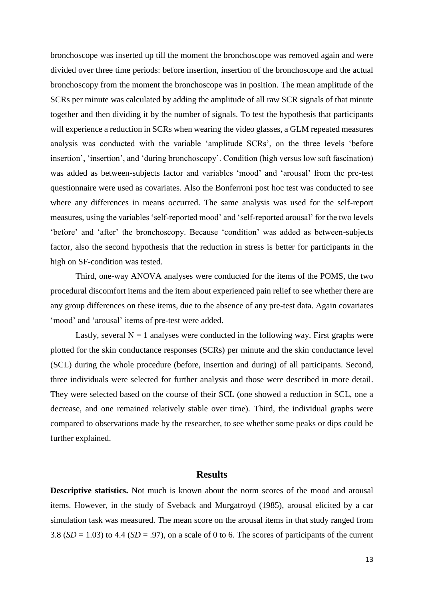bronchoscope was inserted up till the moment the bronchoscope was removed again and were divided over three time periods: before insertion, insertion of the bronchoscope and the actual bronchoscopy from the moment the bronchoscope was in position. The mean amplitude of the SCRs per minute was calculated by adding the amplitude of all raw SCR signals of that minute together and then dividing it by the number of signals. To test the hypothesis that participants will experience a reduction in SCRs when wearing the video glasses, a GLM repeated measures analysis was conducted with the variable 'amplitude SCRs', on the three levels 'before insertion', 'insertion', and 'during bronchoscopy'. Condition (high versus low soft fascination) was added as between-subjects factor and variables 'mood' and 'arousal' from the pre-test questionnaire were used as covariates. Also the Bonferroni post hoc test was conducted to see where any differences in means occurred. The same analysis was used for the self-report measures, using the variables 'self-reported mood' and 'self-reported arousal' for the two levels 'before' and 'after' the bronchoscopy. Because 'condition' was added as between-subjects factor, also the second hypothesis that the reduction in stress is better for participants in the high on SF-condition was tested.

Third, one-way ANOVA analyses were conducted for the items of the POMS, the two procedural discomfort items and the item about experienced pain relief to see whether there are any group differences on these items, due to the absence of any pre-test data. Again covariates 'mood' and 'arousal' items of pre-test were added.

Lastly, several  $N = 1$  analyses were conducted in the following way. First graphs were plotted for the skin conductance responses (SCRs) per minute and the skin conductance level (SCL) during the whole procedure (before, insertion and during) of all participants. Second, three individuals were selected for further analysis and those were described in more detail. They were selected based on the course of their SCL (one showed a reduction in SCL, one a decrease, and one remained relatively stable over time). Third, the individual graphs were compared to observations made by the researcher, to see whether some peaks or dips could be further explained.

## **Results**

**Descriptive statistics.** Not much is known about the norm scores of the mood and arousal items. However, in the study of Sveback and Murgatroyd (1985), arousal elicited by a car simulation task was measured. The mean score on the arousal items in that study ranged from 3.8  $(SD = 1.03)$  to 4.4  $(SD = .97)$ , on a scale of 0 to 6. The scores of participants of the current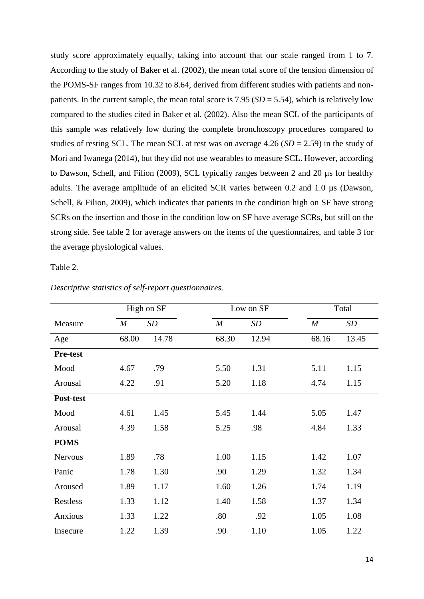study score approximately equally, taking into account that our scale ranged from 1 to 7. According to the study of Baker et al. (2002), the mean total score of the tension dimension of the POMS-SF ranges from 10.32 to 8.64, derived from different studies with patients and nonpatients. In the current sample, the mean total score is  $7.95$  ( $SD = 5.54$ ), which is relatively low compared to the studies cited in Baker et al. (2002). Also the mean SCL of the participants of this sample was relatively low during the complete bronchoscopy procedures compared to studies of resting SCL. The mean SCL at rest was on average 4.26 (*SD* = 2.59) in the study of Mori and Iwanega (2014), but they did not use wearables to measure SCL. However, according to Dawson, Schell, and Filion (2009), SCL typically ranges between 2 and 20 µs for healthy adults. The average amplitude of an elicited SCR varies between 0.2 and 1.0 µs (Dawson, Schell, & Filion, 2009), which indicates that patients in the condition high on SF have strong SCRs on the insertion and those in the condition low on SF have average SCRs, but still on the strong side. See table 2 for average answers on the items of the questionnaires, and table 3 for the average physiological values.

Table 2.

|                 |                  | High on SF |                  | Low on SF |                  | Total |
|-----------------|------------------|------------|------------------|-----------|------------------|-------|
| Measure         | $\boldsymbol{M}$ | SD         | $\boldsymbol{M}$ | SD        | $\boldsymbol{M}$ | SD    |
| Age             | 68.00            | 14.78      | 68.30            | 12.94     | 68.16            | 13.45 |
| <b>Pre-test</b> |                  |            |                  |           |                  |       |
| Mood            | 4.67             | .79        | 5.50             | 1.31      | 5.11             | 1.15  |
| Arousal         | 4.22             | .91        | 5.20             | 1.18      | 4.74             | 1.15  |
| Post-test       |                  |            |                  |           |                  |       |
| Mood            | 4.61             | 1.45       | 5.45             | 1.44      | 5.05             | 1.47  |
| Arousal         | 4.39             | 1.58       | 5.25             | .98       | 4.84             | 1.33  |
| <b>POMS</b>     |                  |            |                  |           |                  |       |
| <b>Nervous</b>  | 1.89             | .78        | 1.00             | 1.15      | 1.42             | 1.07  |
| Panic           | 1.78             | 1.30       | .90              | 1.29      | 1.32             | 1.34  |
| Aroused         | 1.89             | 1.17       | 1.60             | 1.26      | 1.74             | 1.19  |
| Restless        | 1.33             | 1.12       | 1.40             | 1.58      | 1.37             | 1.34  |
| Anxious         | 1.33             | 1.22       | .80              | .92       | 1.05             | 1.08  |
| Insecure        | 1.22             | 1.39       | .90              | 1.10      | 1.05             | 1.22  |

*Descriptive statistics of self-report questionnaires.*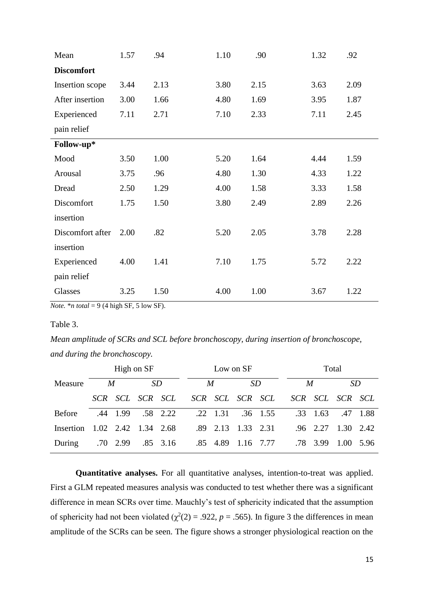| Mean              | 1.57 | .94  | 1.10 | .90  | 1.32 | .92  |
|-------------------|------|------|------|------|------|------|
| <b>Discomfort</b> |      |      |      |      |      |      |
| Insertion scope   | 3.44 | 2.13 | 3.80 | 2.15 | 3.63 | 2.09 |
| After insertion   | 3.00 | 1.66 | 4.80 | 1.69 | 3.95 | 1.87 |
| Experienced       | 7.11 | 2.71 | 7.10 | 2.33 | 7.11 | 2.45 |
| pain relief       |      |      |      |      |      |      |
| Follow-up*        |      |      |      |      |      |      |
| Mood              | 3.50 | 1.00 | 5.20 | 1.64 | 4.44 | 1.59 |
| Arousal           | 3.75 | .96  | 4.80 | 1.30 | 4.33 | 1.22 |
| Dread             | 2.50 | 1.29 | 4.00 | 1.58 | 3.33 | 1.58 |
| Discomfort        | 1.75 | 1.50 | 3.80 | 2.49 | 2.89 | 2.26 |
| insertion         |      |      |      |      |      |      |
| Discomfort after  | 2.00 | .82  | 5.20 | 2.05 | 3.78 | 2.28 |
| insertion         |      |      |      |      |      |      |
| Experienced       | 4.00 | 1.41 | 7.10 | 1.75 | 5.72 | 2.22 |
| pain relief       |      |      |      |      |      |      |
| Glasses           | 3.25 | 1.50 | 4.00 | 1.00 | 3.67 | 1.22 |

*Note.* \**n total* = 9 (4 high SF, 5 low SF).

### Table 3.

*Mean amplitude of SCRs and SCL before bronchoscopy, during insertion of bronchoscope, and during the bronchoscopy.*

|               | High on SF |          |                       |          | Low on SF                             |           |  |  |  | Total                      |      |          |  |
|---------------|------------|----------|-----------------------|----------|---------------------------------------|-----------|--|--|--|----------------------------|------|----------|--|
| Measure       | M          |          | <i>SD</i>             |          | M                                     | <i>SD</i> |  |  |  | M                          | SD   |          |  |
|               |            |          | SCR SCL SCR SCL       |          | SCR SCL SCR SCL                       |           |  |  |  | SCR SCL SCR SCL            |      |          |  |
| <b>Before</b> |            | .44 1.99 |                       | .58 2.22 | $.22 \quad 1.31 \quad .36 \quad 1.55$ |           |  |  |  | $.33 \quad 1.63$           |      | .47 1.88 |  |
| Insertion     |            |          | $1.02$ 2.42 1.34 2.68 |          | $.89$ 2.13                            | 1.33 2.31 |  |  |  | $.96$ $2.27$ $1.30$ $2.42$ |      |          |  |
| During        |            | .70 2.99 |                       | .85 3.16 | .85 4.89                              | 1.16 7.77 |  |  |  | .78 3.99                   | 1.00 | 5.96     |  |

**Quantitative analyses.** For all quantitative analyses, intention-to-treat was applied. First a GLM repeated measures analysis was conducted to test whether there was a significant difference in mean SCRs over time. Mauchly's test of sphericity indicated that the assumption of sphericity had not been violated ( $\chi^2(2) = .922$ ,  $p = .565$ ). In figure 3 the differences in mean amplitude of the SCRs can be seen. The figure shows a stronger physiological reaction on the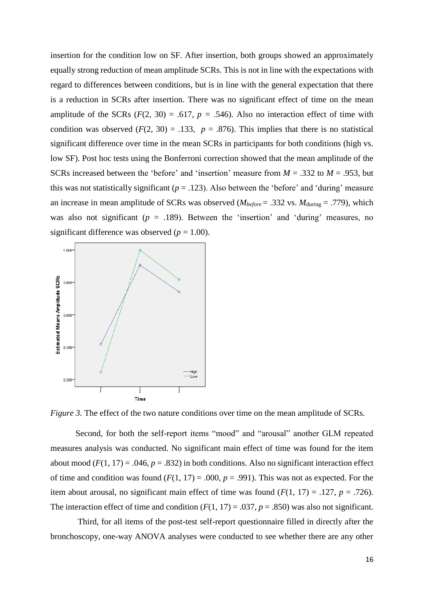insertion for the condition low on SF. After insertion, both groups showed an approximately equally strong reduction of mean amplitude SCRs. This is not in line with the expectations with regard to differences between conditions, but is in line with the general expectation that there is a reduction in SCRs after insertion. There was no significant effect of time on the mean amplitude of the SCRs  $(F(2, 30) = .617, p = .546)$ . Also no interaction effect of time with condition was observed  $(F(2, 30) = .133, p = .876)$ . This implies that there is no statistical significant difference over time in the mean SCRs in participants for both conditions (high vs. low SF). Post hoc tests using the Bonferroni correction showed that the mean amplitude of the SCRs increased between the 'before' and 'insertion' measure from *M* = .332 to *M* = .953, but this was not statistically significant  $(p = .123)$ . Also between the 'before' and 'during' measure an increase in mean amplitude of SCRs was observed ( $M_{before} = .332$  vs.  $M_{during} = .779$ ), which was also not significant ( $p = .189$ ). Between the 'insertion' and 'during' measures, no significant difference was observed  $(p = 1.00)$ .



*Figure 3.* The effect of the two nature conditions over time on the mean amplitude of SCRs.

Second, for both the self-report items "mood" and "arousal" another GLM repeated measures analysis was conducted. No significant main effect of time was found for the item about mood ( $F(1, 17) = .046$ ,  $p = .832$ ) in both conditions. Also no significant interaction effect of time and condition was found  $(F(1, 17) = .000, p = .991)$ . This was not as expected. For the item about arousal, no significant main effect of time was found  $(F(1, 17) = .127, p = .726)$ . The interaction effect of time and condition  $(F(1, 17) = .037, p = .850)$  was also not significant.

Third, for all items of the post-test self-report questionnaire filled in directly after the bronchoscopy, one-way ANOVA analyses were conducted to see whether there are any other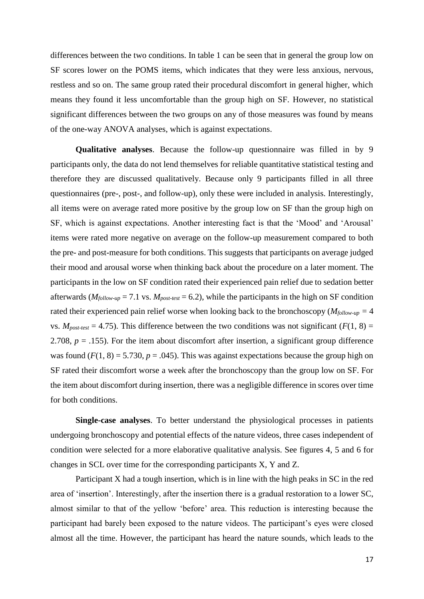differences between the two conditions. In table 1 can be seen that in general the group low on SF scores lower on the POMS items, which indicates that they were less anxious, nervous, restless and so on. The same group rated their procedural discomfort in general higher, which means they found it less uncomfortable than the group high on SF. However, no statistical significant differences between the two groups on any of those measures was found by means of the one-way ANOVA analyses, which is against expectations.

**Qualitative analyses**. Because the follow-up questionnaire was filled in by 9 participants only, the data do not lend themselves for reliable quantitative statistical testing and therefore they are discussed qualitatively. Because only 9 participants filled in all three questionnaires (pre-, post-, and follow-up), only these were included in analysis. Interestingly, all items were on average rated more positive by the group low on SF than the group high on SF, which is against expectations. Another interesting fact is that the 'Mood' and 'Arousal' items were rated more negative on average on the follow-up measurement compared to both the pre- and post-measure for both conditions. This suggests that participants on average judged their mood and arousal worse when thinking back about the procedure on a later moment. The participants in the low on SF condition rated their experienced pain relief due to sedation better afterwards ( $M_{follow-up}$  = 7.1 vs.  $M_{post-test}$  = 6.2), while the participants in the high on SF condition rated their experienced pain relief worse when looking back to the bronchoscopy ( $M_{\text{follow-up}} = 4$ ) vs.  $M_{post-test} = 4.75$ ). This difference between the two conditions was not significant ( $F(1, 8) =$ 2.708,  $p = 0.155$ ). For the item about discomfort after insertion, a significant group difference was found  $(F(1, 8) = 5.730, p = .045)$ . This was against expectations because the group high on SF rated their discomfort worse a week after the bronchoscopy than the group low on SF. For the item about discomfort during insertion, there was a negligible difference in scores over time for both conditions.

**Single-case analyses**. To better understand the physiological processes in patients undergoing bronchoscopy and potential effects of the nature videos, three cases independent of condition were selected for a more elaborative qualitative analysis. See figures 4, 5 and 6 for changes in SCL over time for the corresponding participants X, Y and Z.

Participant X had a tough insertion, which is in line with the high peaks in SC in the red area of 'insertion'. Interestingly, after the insertion there is a gradual restoration to a lower SC, almost similar to that of the yellow 'before' area. This reduction is interesting because the participant had barely been exposed to the nature videos. The participant's eyes were closed almost all the time. However, the participant has heard the nature sounds, which leads to the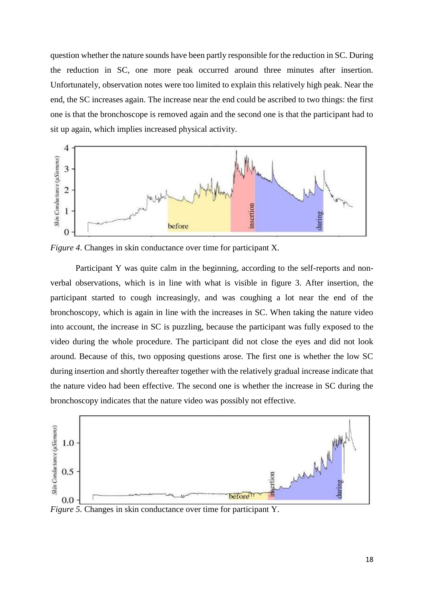question whether the nature sounds have been partly responsible for the reduction in SC. During the reduction in SC, one more peak occurred around three minutes after insertion. Unfortunately, observation notes were too limited to explain this relatively high peak. Near the end, the SC increases again. The increase near the end could be ascribed to two things: the first one is that the bronchoscope is removed again and the second one is that the participant had to sit up again, which implies increased physical activity.



*Figure 4*. Changes in skin conductance over time for participant X.

Participant Y was quite calm in the beginning, according to the self-reports and nonverbal observations, which is in line with what is visible in figure 3. After insertion, the participant started to cough increasingly, and was coughing a lot near the end of the bronchoscopy, which is again in line with the increases in SC. When taking the nature video into account, the increase in SC is puzzling, because the participant was fully exposed to the video during the whole procedure. The participant did not close the eyes and did not look around. Because of this, two opposing questions arose. The first one is whether the low SC during insertion and shortly thereafter together with the relatively gradual increase indicate that the nature video had been effective. The second one is whether the increase in SC during the bronchoscopy indicates that the nature video was possibly not effective.



*Figure 5.* Changes in skin conductance over time for participant Y.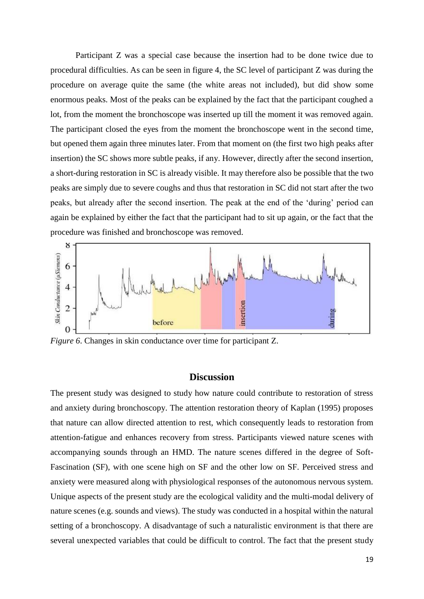Participant Z was a special case because the insertion had to be done twice due to procedural difficulties. As can be seen in figure 4, the SC level of participant Z was during the procedure on average quite the same (the white areas not included), but did show some enormous peaks. Most of the peaks can be explained by the fact that the participant coughed a lot, from the moment the bronchoscope was inserted up till the moment it was removed again. The participant closed the eyes from the moment the bronchoscope went in the second time, but opened them again three minutes later. From that moment on (the first two high peaks after insertion) the SC shows more subtle peaks, if any. However, directly after the second insertion, a short-during restoration in SC is already visible. It may therefore also be possible that the two peaks are simply due to severe coughs and thus that restoration in SC did not start after the two peaks, but already after the second insertion. The peak at the end of the 'during' period can again be explained by either the fact that the participant had to sit up again, or the fact that the procedure was finished and bronchoscope was removed.



*Figure 6*. Changes in skin conductance over time for participant Z.

## **Discussion**

The present study was designed to study how nature could contribute to restoration of stress and anxiety during bronchoscopy. The attention restoration theory of Kaplan (1995) proposes that nature can allow directed attention to rest, which consequently leads to restoration from attention-fatigue and enhances recovery from stress. Participants viewed nature scenes with accompanying sounds through an HMD. The nature scenes differed in the degree of Soft-Fascination (SF), with one scene high on SF and the other low on SF. Perceived stress and anxiety were measured along with physiological responses of the autonomous nervous system. Unique aspects of the present study are the ecological validity and the multi-modal delivery of nature scenes (e.g. sounds and views). The study was conducted in a hospital within the natural setting of a bronchoscopy. A disadvantage of such a naturalistic environment is that there are several unexpected variables that could be difficult to control. The fact that the present study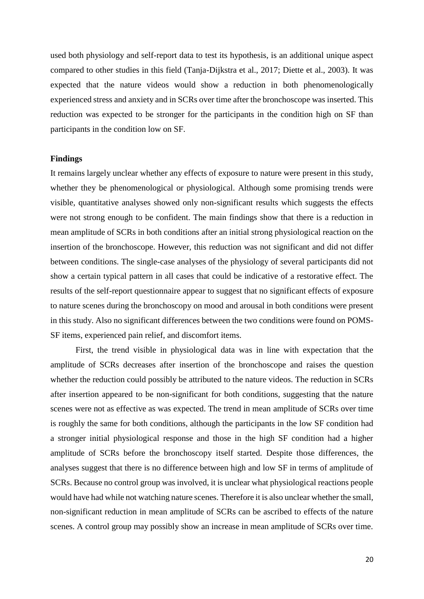used both physiology and self-report data to test its hypothesis, is an additional unique aspect compared to other studies in this field (Tanja-Dijkstra et al., 2017; Diette et al., 2003). It was expected that the nature videos would show a reduction in both phenomenologically experienced stress and anxiety and in SCRs over time after the bronchoscope was inserted. This reduction was expected to be stronger for the participants in the condition high on SF than participants in the condition low on SF.

#### **Findings**

It remains largely unclear whether any effects of exposure to nature were present in this study, whether they be phenomenological or physiological. Although some promising trends were visible, quantitative analyses showed only non-significant results which suggests the effects were not strong enough to be confident. The main findings show that there is a reduction in mean amplitude of SCRs in both conditions after an initial strong physiological reaction on the insertion of the bronchoscope. However, this reduction was not significant and did not differ between conditions. The single-case analyses of the physiology of several participants did not show a certain typical pattern in all cases that could be indicative of a restorative effect. The results of the self-report questionnaire appear to suggest that no significant effects of exposure to nature scenes during the bronchoscopy on mood and arousal in both conditions were present in this study. Also no significant differences between the two conditions were found on POMS-SF items, experienced pain relief, and discomfort items.

First, the trend visible in physiological data was in line with expectation that the amplitude of SCRs decreases after insertion of the bronchoscope and raises the question whether the reduction could possibly be attributed to the nature videos. The reduction in SCRs after insertion appeared to be non-significant for both conditions, suggesting that the nature scenes were not as effective as was expected. The trend in mean amplitude of SCRs over time is roughly the same for both conditions, although the participants in the low SF condition had a stronger initial physiological response and those in the high SF condition had a higher amplitude of SCRs before the bronchoscopy itself started. Despite those differences, the analyses suggest that there is no difference between high and low SF in terms of amplitude of SCRs. Because no control group was involved, it is unclear what physiological reactions people would have had while not watching nature scenes. Therefore it is also unclear whether the small, non-significant reduction in mean amplitude of SCRs can be ascribed to effects of the nature scenes. A control group may possibly show an increase in mean amplitude of SCRs over time.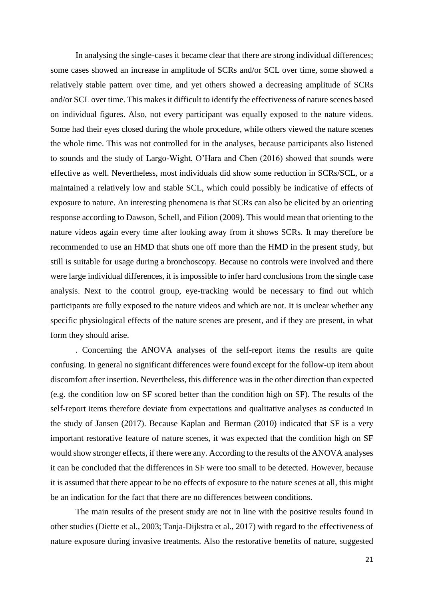In analysing the single-cases it became clear that there are strong individual differences; some cases showed an increase in amplitude of SCRs and/or SCL over time, some showed a relatively stable pattern over time, and yet others showed a decreasing amplitude of SCRs and/or SCL over time. This makes it difficult to identify the effectiveness of nature scenes based on individual figures. Also, not every participant was equally exposed to the nature videos. Some had their eyes closed during the whole procedure, while others viewed the nature scenes the whole time. This was not controlled for in the analyses, because participants also listened to sounds and the study of Largo-Wight, O'Hara and Chen (2016) showed that sounds were effective as well. Nevertheless, most individuals did show some reduction in SCRs/SCL, or a maintained a relatively low and stable SCL, which could possibly be indicative of effects of exposure to nature. An interesting phenomena is that SCRs can also be elicited by an orienting response according to Dawson, Schell, and Filion (2009). This would mean that orienting to the nature videos again every time after looking away from it shows SCRs. It may therefore be recommended to use an HMD that shuts one off more than the HMD in the present study, but still is suitable for usage during a bronchoscopy. Because no controls were involved and there were large individual differences, it is impossible to infer hard conclusions from the single case analysis. Next to the control group, eye-tracking would be necessary to find out which participants are fully exposed to the nature videos and which are not. It is unclear whether any specific physiological effects of the nature scenes are present, and if they are present, in what form they should arise.

. Concerning the ANOVA analyses of the self-report items the results are quite confusing. In general no significant differences were found except for the follow-up item about discomfort after insertion. Nevertheless, this difference was in the other direction than expected (e.g. the condition low on SF scored better than the condition high on SF). The results of the self-report items therefore deviate from expectations and qualitative analyses as conducted in the study of Jansen (2017). Because Kaplan and Berman (2010) indicated that SF is a very important restorative feature of nature scenes, it was expected that the condition high on SF would show stronger effects, if there were any. According to the results of the ANOVA analyses it can be concluded that the differences in SF were too small to be detected. However, because it is assumed that there appear to be no effects of exposure to the nature scenes at all, this might be an indication for the fact that there are no differences between conditions.

The main results of the present study are not in line with the positive results found in other studies (Diette et al., 2003; Tanja-Dijkstra et al., 2017) with regard to the effectiveness of nature exposure during invasive treatments. Also the restorative benefits of nature, suggested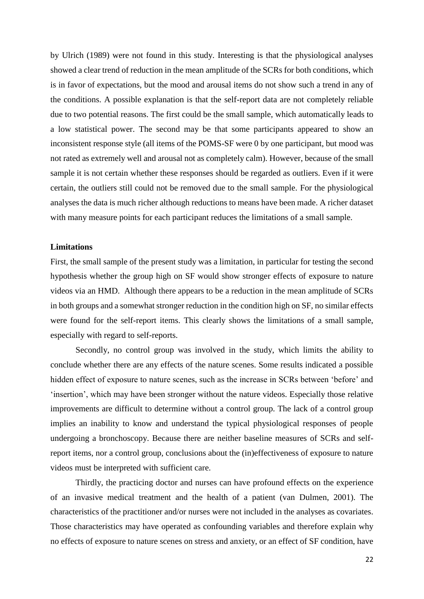by Ulrich (1989) were not found in this study. Interesting is that the physiological analyses showed a clear trend of reduction in the mean amplitude of the SCRs for both conditions, which is in favor of expectations, but the mood and arousal items do not show such a trend in any of the conditions. A possible explanation is that the self-report data are not completely reliable due to two potential reasons. The first could be the small sample, which automatically leads to a low statistical power. The second may be that some participants appeared to show an inconsistent response style (all items of the POMS-SF were 0 by one participant, but mood was not rated as extremely well and arousal not as completely calm). However, because of the small sample it is not certain whether these responses should be regarded as outliers. Even if it were certain, the outliers still could not be removed due to the small sample. For the physiological analyses the data is much richer although reductions to means have been made. A richer dataset with many measure points for each participant reduces the limitations of a small sample.

### **Limitations**

First, the small sample of the present study was a limitation, in particular for testing the second hypothesis whether the group high on SF would show stronger effects of exposure to nature videos via an HMD. Although there appears to be a reduction in the mean amplitude of SCRs in both groups and a somewhat stronger reduction in the condition high on SF, no similar effects were found for the self-report items. This clearly shows the limitations of a small sample, especially with regard to self-reports.

Secondly, no control group was involved in the study, which limits the ability to conclude whether there are any effects of the nature scenes. Some results indicated a possible hidden effect of exposure to nature scenes, such as the increase in SCRs between 'before' and 'insertion', which may have been stronger without the nature videos. Especially those relative improvements are difficult to determine without a control group. The lack of a control group implies an inability to know and understand the typical physiological responses of people undergoing a bronchoscopy. Because there are neither baseline measures of SCRs and selfreport items, nor a control group, conclusions about the (in)effectiveness of exposure to nature videos must be interpreted with sufficient care.

Thirdly, the practicing doctor and nurses can have profound effects on the experience of an invasive medical treatment and the health of a patient (van Dulmen, 2001). The characteristics of the practitioner and/or nurses were not included in the analyses as covariates. Those characteristics may have operated as confounding variables and therefore explain why no effects of exposure to nature scenes on stress and anxiety, or an effect of SF condition, have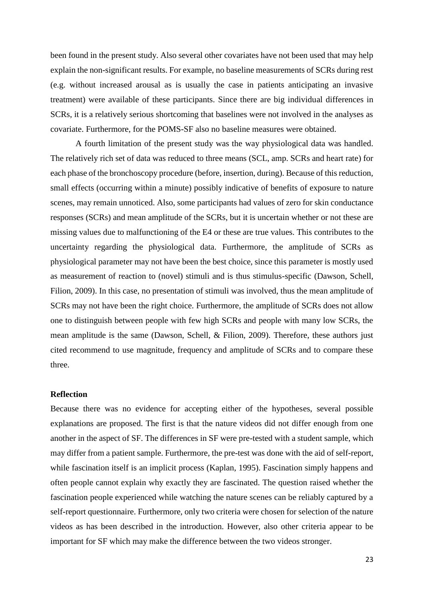been found in the present study. Also several other covariates have not been used that may help explain the non-significant results. For example, no baseline measurements of SCRs during rest (e.g. without increased arousal as is usually the case in patients anticipating an invasive treatment) were available of these participants. Since there are big individual differences in SCRs, it is a relatively serious shortcoming that baselines were not involved in the analyses as covariate. Furthermore, for the POMS-SF also no baseline measures were obtained.

A fourth limitation of the present study was the way physiological data was handled. The relatively rich set of data was reduced to three means (SCL, amp. SCRs and heart rate) for each phase of the bronchoscopy procedure (before, insertion, during). Because of this reduction, small effects (occurring within a minute) possibly indicative of benefits of exposure to nature scenes, may remain unnoticed. Also, some participants had values of zero for skin conductance responses (SCRs) and mean amplitude of the SCRs, but it is uncertain whether or not these are missing values due to malfunctioning of the E4 or these are true values. This contributes to the uncertainty regarding the physiological data. Furthermore, the amplitude of SCRs as physiological parameter may not have been the best choice, since this parameter is mostly used as measurement of reaction to (novel) stimuli and is thus stimulus-specific (Dawson, Schell, Filion, 2009). In this case, no presentation of stimuli was involved, thus the mean amplitude of SCRs may not have been the right choice. Furthermore, the amplitude of SCRs does not allow one to distinguish between people with few high SCRs and people with many low SCRs, the mean amplitude is the same (Dawson, Schell, & Filion, 2009). Therefore, these authors just cited recommend to use magnitude, frequency and amplitude of SCRs and to compare these three.

## **Reflection**

Because there was no evidence for accepting either of the hypotheses, several possible explanations are proposed. The first is that the nature videos did not differ enough from one another in the aspect of SF. The differences in SF were pre-tested with a student sample, which may differ from a patient sample. Furthermore, the pre-test was done with the aid of self-report, while fascination itself is an implicit process (Kaplan, 1995). Fascination simply happens and often people cannot explain why exactly they are fascinated. The question raised whether the fascination people experienced while watching the nature scenes can be reliably captured by a self-report questionnaire. Furthermore, only two criteria were chosen for selection of the nature videos as has been described in the introduction. However, also other criteria appear to be important for SF which may make the difference between the two videos stronger.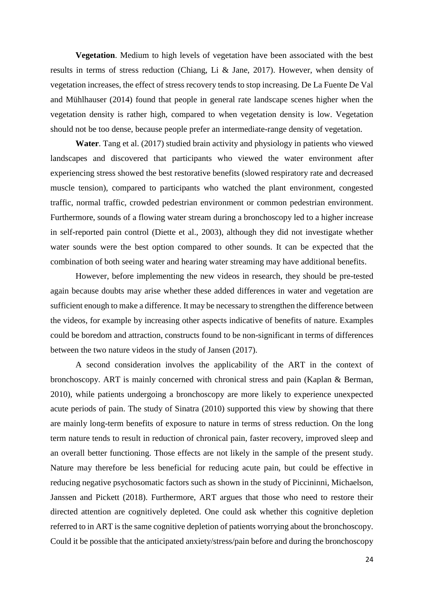**Vegetation**. Medium to high levels of vegetation have been associated with the best results in terms of stress reduction (Chiang, Li & Jane, 2017). However, when density of vegetation increases, the effect of stress recovery tends to stop increasing. De La Fuente De Val and Mühlhauser (2014) found that people in general rate landscape scenes higher when the vegetation density is rather high, compared to when vegetation density is low. Vegetation should not be too dense, because people prefer an intermediate-range density of vegetation.

**Water**. Tang et al. (2017) studied brain activity and physiology in patients who viewed landscapes and discovered that participants who viewed the water environment after experiencing stress showed the best restorative benefits (slowed respiratory rate and decreased muscle tension), compared to participants who watched the plant environment, congested traffic, normal traffic, crowded pedestrian environment or common pedestrian environment. Furthermore, sounds of a flowing water stream during a bronchoscopy led to a higher increase in self-reported pain control (Diette et al., 2003), although they did not investigate whether water sounds were the best option compared to other sounds. It can be expected that the combination of both seeing water and hearing water streaming may have additional benefits.

However, before implementing the new videos in research, they should be pre-tested again because doubts may arise whether these added differences in water and vegetation are sufficient enough to make a difference. It may be necessary to strengthen the difference between the videos, for example by increasing other aspects indicative of benefits of nature. Examples could be boredom and attraction, constructs found to be non-significant in terms of differences between the two nature videos in the study of Jansen (2017).

A second consideration involves the applicability of the ART in the context of bronchoscopy. ART is mainly concerned with chronical stress and pain (Kaplan & Berman, 2010), while patients undergoing a bronchoscopy are more likely to experience unexpected acute periods of pain. The study of Sinatra (2010) supported this view by showing that there are mainly long-term benefits of exposure to nature in terms of stress reduction. On the long term nature tends to result in reduction of chronical pain, faster recovery, improved sleep and an overall better functioning. Those effects are not likely in the sample of the present study. Nature may therefore be less beneficial for reducing acute pain, but could be effective in reducing negative psychosomatic factors such as shown in the study of Piccininni, Michaelson, Janssen and Pickett (2018). Furthermore, ART argues that those who need to restore their directed attention are cognitively depleted. One could ask whether this cognitive depletion referred to in ART is the same cognitive depletion of patients worrying about the bronchoscopy. Could it be possible that the anticipated anxiety/stress/pain before and during the bronchoscopy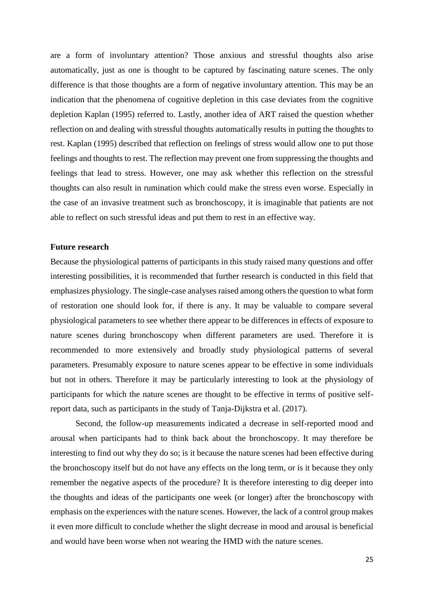are a form of involuntary attention? Those anxious and stressful thoughts also arise automatically, just as one is thought to be captured by fascinating nature scenes. The only difference is that those thoughts are a form of negative involuntary attention. This may be an indication that the phenomena of cognitive depletion in this case deviates from the cognitive depletion Kaplan (1995) referred to. Lastly, another idea of ART raised the question whether reflection on and dealing with stressful thoughts automatically results in putting the thoughts to rest. Kaplan (1995) described that reflection on feelings of stress would allow one to put those feelings and thoughts to rest. The reflection may prevent one from suppressing the thoughts and feelings that lead to stress. However, one may ask whether this reflection on the stressful thoughts can also result in rumination which could make the stress even worse. Especially in the case of an invasive treatment such as bronchoscopy, it is imaginable that patients are not able to reflect on such stressful ideas and put them to rest in an effective way.

#### **Future research**

Because the physiological patterns of participants in this study raised many questions and offer interesting possibilities, it is recommended that further research is conducted in this field that emphasizes physiology. The single-case analyses raised among others the question to what form of restoration one should look for, if there is any. It may be valuable to compare several physiological parameters to see whether there appear to be differences in effects of exposure to nature scenes during bronchoscopy when different parameters are used. Therefore it is recommended to more extensively and broadly study physiological patterns of several parameters. Presumably exposure to nature scenes appear to be effective in some individuals but not in others. Therefore it may be particularly interesting to look at the physiology of participants for which the nature scenes are thought to be effective in terms of positive selfreport data, such as participants in the study of Tanja-Dijkstra et al. (2017).

Second, the follow-up measurements indicated a decrease in self-reported mood and arousal when participants had to think back about the bronchoscopy. It may therefore be interesting to find out why they do so; is it because the nature scenes had been effective during the bronchoscopy itself but do not have any effects on the long term, or is it because they only remember the negative aspects of the procedure? It is therefore interesting to dig deeper into the thoughts and ideas of the participants one week (or longer) after the bronchoscopy with emphasis on the experiences with the nature scenes. However, the lack of a control group makes it even more difficult to conclude whether the slight decrease in mood and arousal is beneficial and would have been worse when not wearing the HMD with the nature scenes.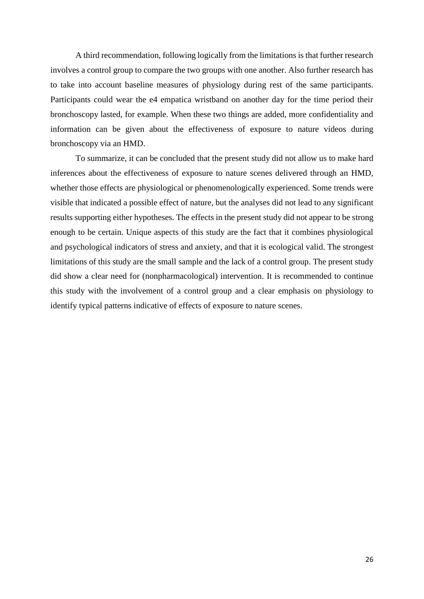A third recommendation, following logically from the limitations is that further research involves a control group to compare the two groups with one another. Also further research has to take into account baseline measures of physiology during rest of the same participants. Participants could wear the e4 empatica wristband on another day for the time period their bronchoscopy lasted, for example. When these two things are added, more confidentiality and information can be given about the effectiveness of exposure to nature videos during bronchoscopy via an HMD.

To summarize, it can be concluded that the present study did not allow us to make hard inferences about the effectiveness of exposure to nature scenes delivered through an HMD, whether those effects are physiological or phenomenologically experienced. Some trends were visible that indicated a possible effect of nature, but the analyses did not lead to any significant results supporting either hypotheses. The effects in the present study did not appear to be strong enough to be certain. Unique aspects of this study are the fact that it combines physiological and psychological indicators of stress and anxiety, and that it is ecological valid. The strongest limitations of this study are the small sample and the lack of a control group. The present study did show a clear need for (nonpharmacological) intervention. It is recommended to continue this study with the involvement of a control group and a clear emphasis on physiology to identify typical patterns indicative of effects of exposure to nature scenes.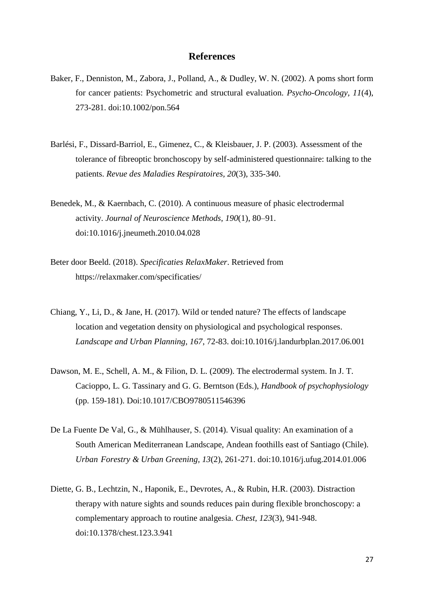## **References**

- Baker, F., Denniston, M., Zabora, J., Polland, A., & Dudley, W. N. (2002). A poms short form for cancer patients: Psychometric and structural evaluation. *Psycho-Oncology, 11*(4), 273-281. doi:10.1002/pon.564
- Barlési, F., Dissard-Barriol, E., Gimenez, C., & Kleisbauer, J. P. (2003). Assessment of the tolerance of fibreoptic bronchoscopy by self-administered questionnaire: talking to the patients. *Revue des Maladies Respiratoires, 20*(3), 335-340.
- Benedek, M., & Kaernbach, C. (2010). A continuous measure of phasic electrodermal activity. *Journal of Neuroscience Methods*, *190*(1), 80–91. doi:10.1016/j.jneumeth.2010.04.028
- Beter door Beeld. (2018). *Specificaties RelaxMaker*. Retrieved from https://relaxmaker.com/specificaties/
- Chiang, Y., Li, D., & Jane, H. (2017). Wild or tended nature? The effects of landscape location and vegetation density on physiological and psychological responses. *Landscape and Urban Planning, 167*, 72-83. doi[:10.1016/j.landurbplan.2017.06.001](https://doi.org/10.1016/j.landurbplan.2017.06.001)
- Dawson, M. E., Schell, A. M., & Filion, D. L. (2009). The electrodermal system. In J. T. Cacioppo, L. G. Tassinary and G. G. Berntson (Eds.), *Handbook of psychophysiology* (pp. 159-181). Doi[:10.1017/CBO9780511546396](https://doi.org/10.1017/CBO9780511546396)
- De La Fuente De Val, G., & Mühlhauser, S. (2014). Visual quality: An examination of a South American Mediterranean Landscape, Andean foothills east of Santiago (Chile). *Urban Forestry & Urban Greening, 13*(2), 261-271. doi[:10.1016/j.ufug.2014.01.006](https://doi.org/10.1016/j.ufug.2014.01.006)
- Diette, G. B., Lechtzin, N., Haponik, E., Devrotes, A., & Rubin, H.R. (2003). Distraction therapy with nature sights and sounds reduces pain during flexible bronchoscopy: a complementary approach to routine analgesia. *Chest, 123*(3), 941-948. doi[:10.1378/chest.123.3.941](https://doi.org/10.1378/chest.123.3.941)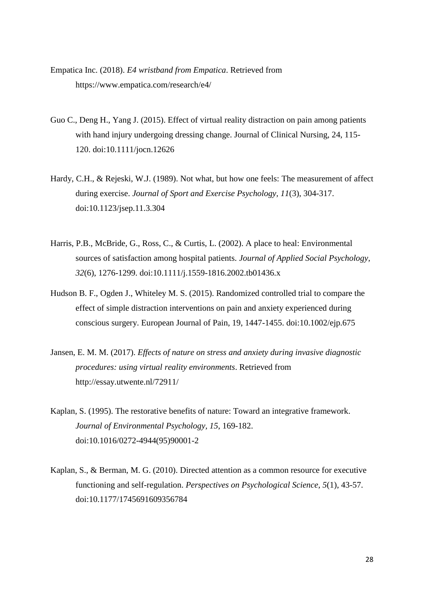- Empatica Inc. (2018). *E4 wristband from Empatica*. Retrieved from https://www.empatica.com/research/e4/
- Guo C., Deng H., Yang J. (2015). Effect of virtual reality distraction on pain among patients with hand injury undergoing dressing change. Journal of Clinical Nursing, 24, 115- 120. doi:10.1111/jocn.12626
- Hardy, C.H., & Rejeski, W.J. (1989). Not what, but how one feels: The measurement of affect during exercise. *Journal of Sport and Exercise Psychology, 11*(3), 304-317. doi:10.1123/jsep.11.3.304
- Harris, P.B., McBride, G., Ross, C., & Curtis, L. (2002). A place to heal: Environmental sources of satisfaction among hospital patients. *Journal of Applied Social Psychology, 32*(6), 1276-1299. doi[:10.1111/j.1559-1816.2002.tb01436.x](https://doi.org/10.1111/j.1559-1816.2002.tb01436.x)
- Hudson B. F., Ogden J., Whiteley M. S. (2015). Randomized controlled trial to compare the effect of simple distraction interventions on pain and anxiety experienced during conscious surgery. European Journal of Pain, 19, 1447-1455. doi:10.1002/ejp.675
- Jansen, E. M. M. (2017). *Effects of nature on stress and anxiety during invasive diagnostic procedures: using virtual reality environments*. Retrieved from http://essay.utwente.nl/72911/
- Kaplan, S. (1995). The restorative benefits of nature: Toward an integrative framework. *Journal of Environmental Psychology, 15*, 169-182. doi[:10.1016/0272-4944\(95\)90001-2](https://doi.org/10.1016/0272-4944(95)90001-2)
- Kaplan, S., & Berman, M. G. (2010). Directed attention as a common resource for executive functioning and self-regulation. *Perspectives on Psychological Science, 5*(1), 43-57. doi:10.1177/1745691609356784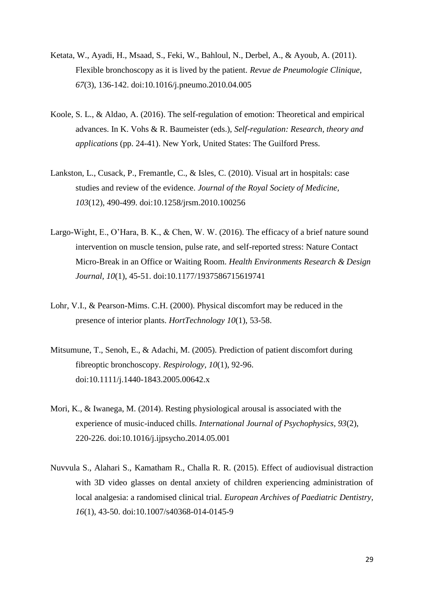- Ketata, W., Ayadi, H., Msaad, S., Feki, W., Bahloul, N., Derbel, A., & Ayoub, A. (2011). Flexible bronchoscopy as it is lived by the patient. *Revue de Pneumologie Clinique, 67*(3), 136-142. doi:10.1016/j.pneumo.2010.04.005
- Koole, S. L., & Aldao, A. (2016). The self-regulation of emotion: Theoretical and empirical advances. In K. Vohs & R. Baumeister (eds.), *Self-regulation: Research, theory and applications* (pp. 24-41). New York, United States: The Guilford Press.
- Lankston, L., Cusack, P., Fremantle, C., & Isles, C. (2010). Visual art in hospitals: case studies and review of the evidence. *Journal of the Royal Society of Medicine, 103*(12), 490-499. doi:10.1258/jrsm.2010.100256
- Largo-Wight, E., O'Hara, B. K., & Chen, W. W. (2016). The efficacy of a brief nature sound intervention on muscle tension, pulse rate, and self-reported stress: Nature Contact Micro-Break in an Office or Waiting Room. *Health Environments Research & Design Journal, 10*(1), 45-51. doi:10.1177/1937586715619741
- Lohr, V.I., & Pearson-Mims. C.H. (2000). Physical discomfort may be reduced in the presence of interior plants. *HortTechnology 10*(1), 53-58.
- Mitsumune, T., Senoh, E., & Adachi, M. (2005). Prediction of patient discomfort during fibreoptic bronchoscopy. *Respirology, 10*(1), 92-96. doi[:10.1111/j.1440-1843.2005.00642.x](https://doi.org/10.1111/j.1440-1843.2005.00642.x)
- Mori, K., & Iwanega, M. (2014). Resting physiological arousal is associated with the experience of music-induced chills. *International Journal of Psychophysics, 93*(2), 220-226. doi[:10.1016/j.ijpsycho.2014.05.001](https://doi.org/10.1016/j.ijpsycho.2014.05.001)
- Nuvvula S., Alahari S., Kamatham R., Challa R. R. (2015). Effect of audiovisual distraction with 3D video glasses on dental anxiety of children experiencing administration of local analgesia: a randomised clinical trial. *European Archives of Paediatric Dentistry, 16*(1), 43-50. doi:10.1007/s40368-014-0145-9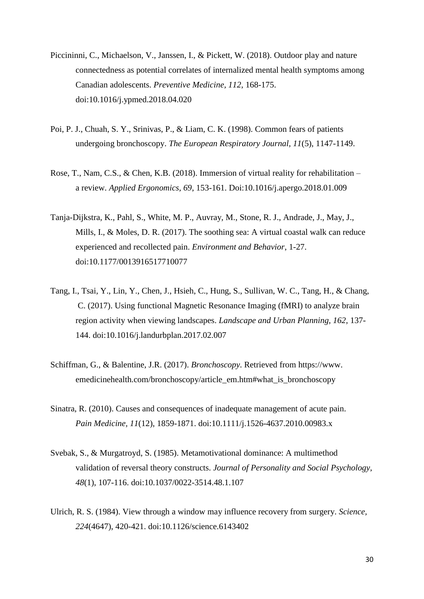- Piccininni, C., Michaelson, V., Janssen, I., & Pickett, W. (2018). Outdoor play and nature connectedness as potential correlates of internalized mental health symptoms among Canadian adolescents. *Preventive Medicine, 112*, 168-175. doi:10.1016/j.ypmed.2018.04.020
- Poi, P. J., Chuah, S. Y., Srinivas, P., & Liam, C. K. (1998). Common fears of patients undergoing bronchoscopy. *The European Respiratory Journal, 11*(5), 1147-1149.
- Rose, T., Nam, C.S., & Chen, K.B. (2018). Immersion of virtual reality for rehabilitation a review. *Applied Ergonomics, 69*, 153-161. Doi:[10.1016/j.apergo.2018.01.009](https://doi.org/10.1016/j.apergo.2018.01.009)
- Tanja-Dijkstra, K., Pahl, S., White, M. P., Auvray, M., Stone, R. J., Andrade, J., May, J., Mills, I., & Moles, D. R. (2017). The soothing sea: A virtual coastal walk can reduce experienced and recollected pain. *Environment and Behavior*, 1-27. doi:10.1177/0013916517710077
- Tang, I., Tsai, Y., Lin, Y., Chen, J., Hsieh, C., Hung, S., Sullivan, W. C., Tang, H., & Chang, C. (2017). Using functional Magnetic Resonance Imaging (fMRI) to analyze brain region activity when viewing landscapes. *Landscape and Urban Planning, 162*, 137- 144. doi[:10.1016/j.landurbplan.2017.02.007](https://doi.org/10.1016/j.landurbplan.2017.02.007)
- Schiffman, G., & Balentine, J.R. (2017). *Bronchoscopy*. Retrieved from https://www. emedicinehealth.com/bronchoscopy/article\_em.htm#what\_is\_bronchoscopy
- Sinatra, R. (2010). Causes and consequences of inadequate management of acute pain. *Pain Medicine, 11*(12), 1859-1871. doi[:10.1111/j.1526-4637.2010.00983.x](https://doi.org/10.1111/j.1526-4637.2010.00983.x)
- Svebak, S., & Murgatroyd, S. (1985). Metamotivational dominance: A multimethod validation of reversal theory constructs. *Journal of Personality and Social Psychology, 48*(1), 107-116. doi:10.1037/0022-3514.48.1.107
- Ulrich, R. S. (1984). View through a window may influence recovery from surgery. *Science, 224*(4647), 420-421. doi:10.1126/science.6143402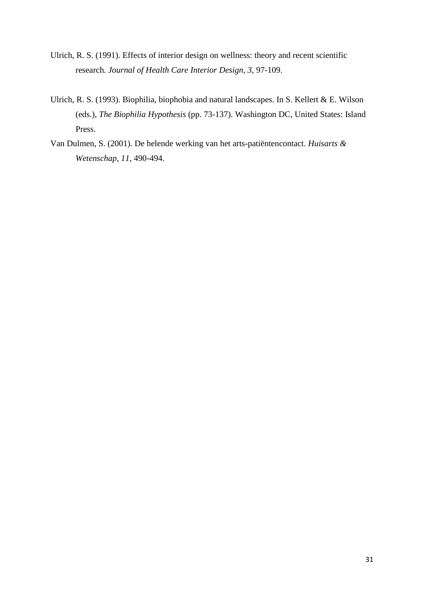- Ulrich, R. S. (1991). Effects of interior design on wellness: theory and recent scientific research. *Journal of Health Care Interior Design, 3*, 97-109.
- Ulrich, R. S. (1993). Biophilia, biophobia and natural landscapes. In S. Kellert & E. Wilson (eds.), *The Biophilia Hypothesis* (pp. 73-137). Washington DC, United States: Island Press.
- Van Dulmen, S. (2001). De helende werking van het arts-patiëntencontact. *Huisarts & Wetenschap, 11*, 490-494.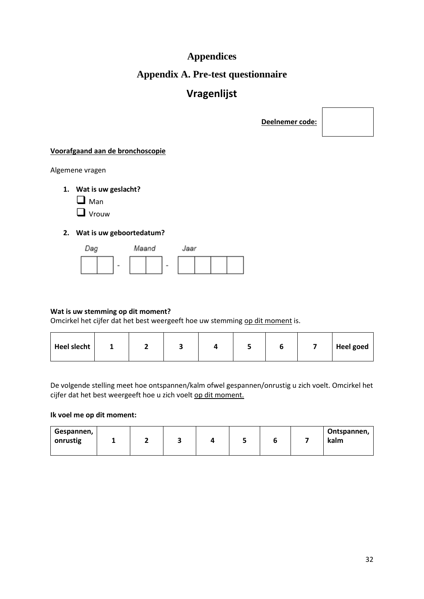# **Appendices**

## **Appendix A. Pre-test questionnaire**

# **Vragenlijst**

**Deelnemer code:**

## **Voorafgaand aan de bronchoscopie**

Algemene vragen

- **1. Wat is uw geslacht?**
	- $\Box$  Man

**Q** Vrouw

## **2. Wat is uw geboortedatum?**



## **Wat is uw stemming op dit moment?**

Omcirkel het cijfer dat het best weergeeft hoe uw stemming op dit moment is.

| Heel slecht | - |  |  |  |  |  |  | <b>Heel goed</b> |
|-------------|---|--|--|--|--|--|--|------------------|
|-------------|---|--|--|--|--|--|--|------------------|

De volgende stelling meet hoe ontspannen/kalm ofwel gespannen/onrustig u zich voelt. Omcirkel het cijfer dat het best weergeeft hoe u zich voelt op dit moment.

#### **Ik voel me op dit moment:**

| Gespannen,<br>onrustig |  | - |  |  |  |  |  | Ontspannen,<br>kalm |
|------------------------|--|---|--|--|--|--|--|---------------------|
|------------------------|--|---|--|--|--|--|--|---------------------|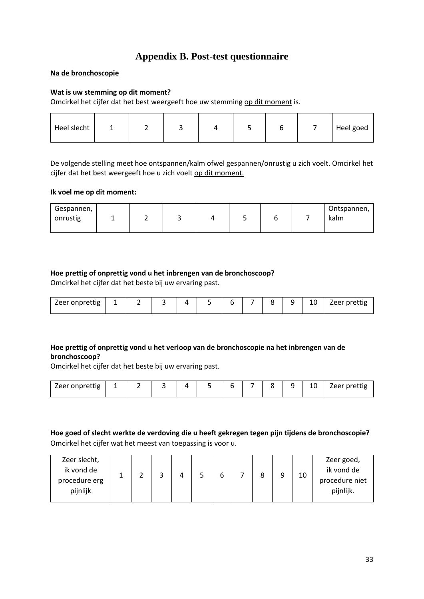## **Appendix B. Post-test questionnaire**

## **Na de bronchoscopie**

## **Wat is uw stemming op dit moment?**

Omcirkel het cijfer dat het best weergeeft hoe uw stemming op dit moment is.

| Heel slecht |  |  |  |  |  |  |  | Heel goed |
|-------------|--|--|--|--|--|--|--|-----------|
|-------------|--|--|--|--|--|--|--|-----------|

De volgende stelling meet hoe ontspannen/kalm ofwel gespannen/onrustig u zich voelt. Omcirkel het cijfer dat het best weergeeft hoe u zich voelt op dit moment.

#### **Ik voel me op dit moment:**

| Gespannen, |  |  |  | Ontspannen, |
|------------|--|--|--|-------------|
| onrustig   |  |  |  | kalm        |
|            |  |  |  |             |

## **Hoe prettig of onprettig vond u het inbrengen van de bronchoscoop?**

Omcirkel het cijfer dat het beste bij uw ervaring past.

| / PPr nnnrettie<br>onprettig<br>ーーー | - |  |  |  |  |  |  |  | ີ | 10<br>__ | $\mu$ / $\rho \rho$ r nrottic<br>$ -$<br>$\sim$ |
|-------------------------------------|---|--|--|--|--|--|--|--|---|----------|-------------------------------------------------|
|-------------------------------------|---|--|--|--|--|--|--|--|---|----------|-------------------------------------------------|

## **Hoe prettig of onprettig vond u het verloop van de bronchoscopie na het inbrengen van de bronchoscoop?**

Omcirkel het cijfer dat het beste bij uw ervaring past.

| .<br><b><i>Leer onnrettig</i></b><br>eure<br>onbr⊬ |  |  |  |  |  |  |  |  |  | 10<br>__ | (0.00000)<br>$\sim$ |
|----------------------------------------------------|--|--|--|--|--|--|--|--|--|----------|---------------------|
|----------------------------------------------------|--|--|--|--|--|--|--|--|--|----------|---------------------|

## **Hoe goed of slecht werkte de verdoving die u heeft gekregen tegen pijn tijdens de bronchoscopie?**  Omcirkel het cijfer wat het meest van toepassing is voor u.

| Zeer slecht,<br>ik vond de<br>procedure erg<br>pijnlijk |  |  |  |  |  |  |  |  |  | 10 | Zeer goed,<br>ik vond de<br>procedure niet<br>pijnlijk. |
|---------------------------------------------------------|--|--|--|--|--|--|--|--|--|----|---------------------------------------------------------|
|---------------------------------------------------------|--|--|--|--|--|--|--|--|--|----|---------------------------------------------------------|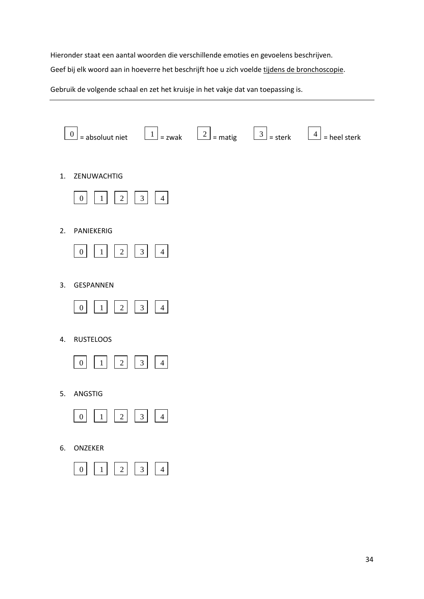Hieronder staat een aantal woorden die verschillende emoties en gevoelens beschrijven.

Geef bij elk woord aan in hoeverre het beschrijft hoe u zich voelde tijdens de bronchoscopie.

Gebruik de volgende schaal en zet het kruisje in het vakje dat van toepassing is.

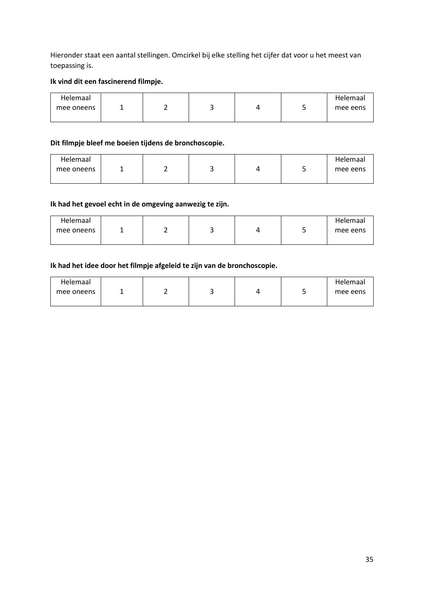Hieronder staat een aantal stellingen. Omcirkel bij elke stelling het cijfer dat voor u het meest van toepassing is.

## **Ik vind dit een fascinerend filmpje.**

| Helemaal   |  |  | Helemaal |
|------------|--|--|----------|
| mee oneens |  |  | mee eens |
|            |  |  |          |

## **Dit filmpje bleef me boeien tijdens de bronchoscopie.**

| Helemaal   |  |  | Helemaal |
|------------|--|--|----------|
| mee oneens |  |  | mee eens |
|            |  |  |          |

## **Ik had het gevoel echt in de omgeving aanwezig te zijn.**

| Helemaal   |  |  |   | Helemaal |
|------------|--|--|---|----------|
| mee oneens |  |  | ٠ | mee eens |
|            |  |  |   |          |

## **Ik had het idee door het filmpje afgeleid te zijn van de bronchoscopie.**

| Helemaal   |  |  |   | Helemaal |
|------------|--|--|---|----------|
| mee oneens |  |  | ۔ | mee eens |
|            |  |  |   |          |